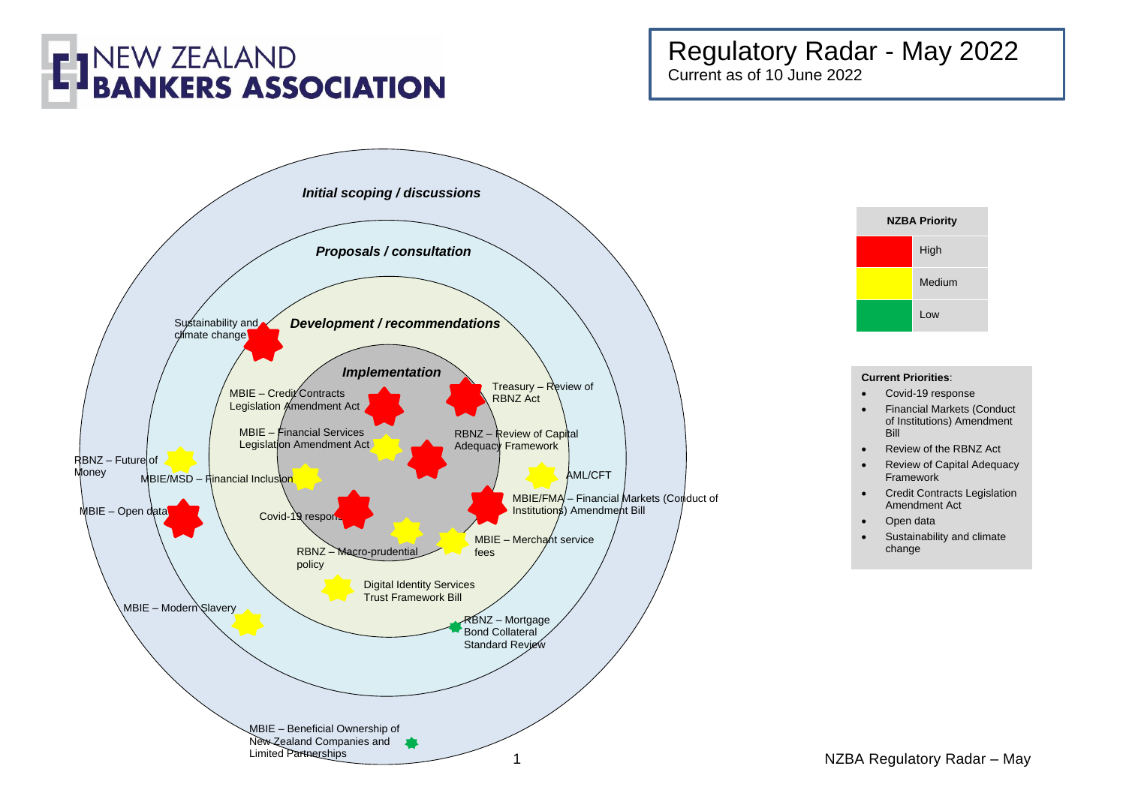### Regulatory Radar - May 2022 Current as of 10 June 2022





#### **Current Priorities**:

- Covid-19 response
- Financial Markets (Conduct of Institutions) Amendment Bill
- Review of the RBNZ Act
- Review of Capital Adequacy Framework
- Credit Contracts Legislation Amendment Act
- Open data
- Sustainability and climate change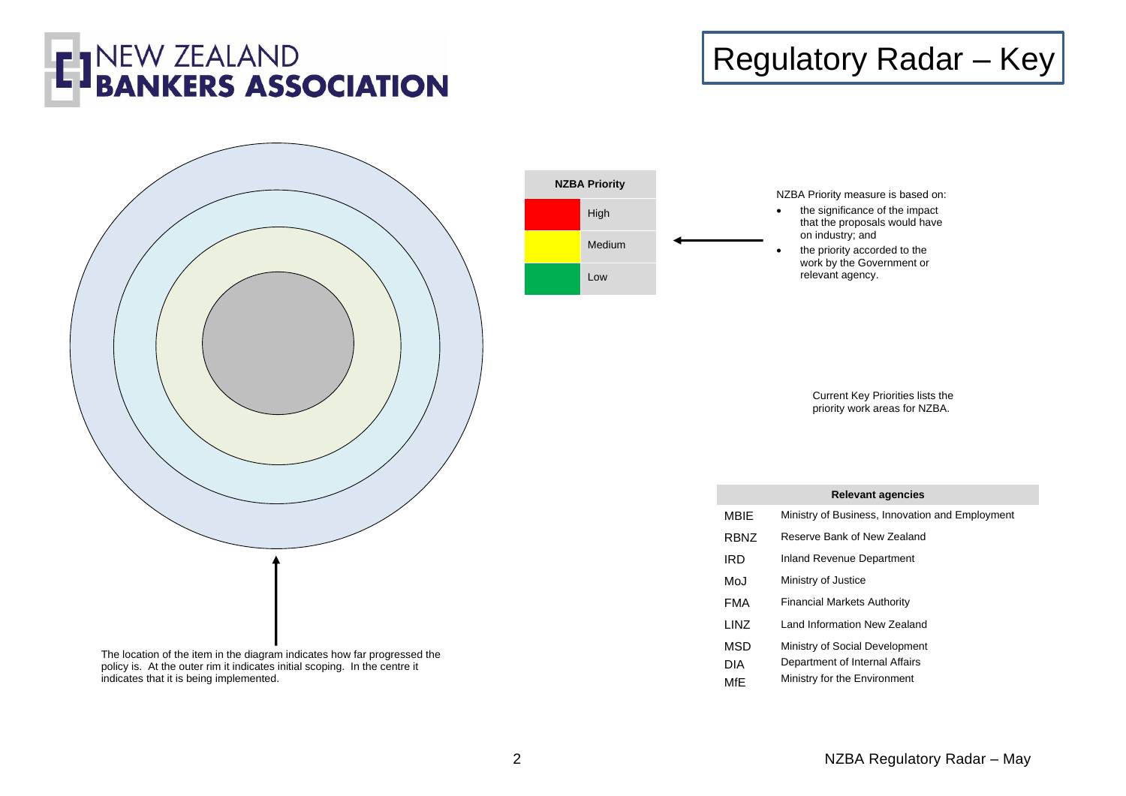

### Regulatory Radar – Key







Current Key Priorities lists the priority work areas for NZBA.

|             | <b>Relevant agencies</b>                        |
|-------------|-------------------------------------------------|
| MBIE        | Ministry of Business, Innovation and Employment |
| <b>RBNZ</b> | Reserve Bank of New Zealand                     |
| <b>IRD</b>  | Inland Revenue Department                       |
| MoJ         | Ministry of Justice                             |
| FMA         | <b>Financial Markets Authority</b>              |
| LINZ        | Land Information New Zealand                    |
| <b>MSD</b>  | Ministry of Social Development                  |
| <b>DIA</b>  | Department of Internal Affairs                  |
| MfF         | Ministry for the Environment                    |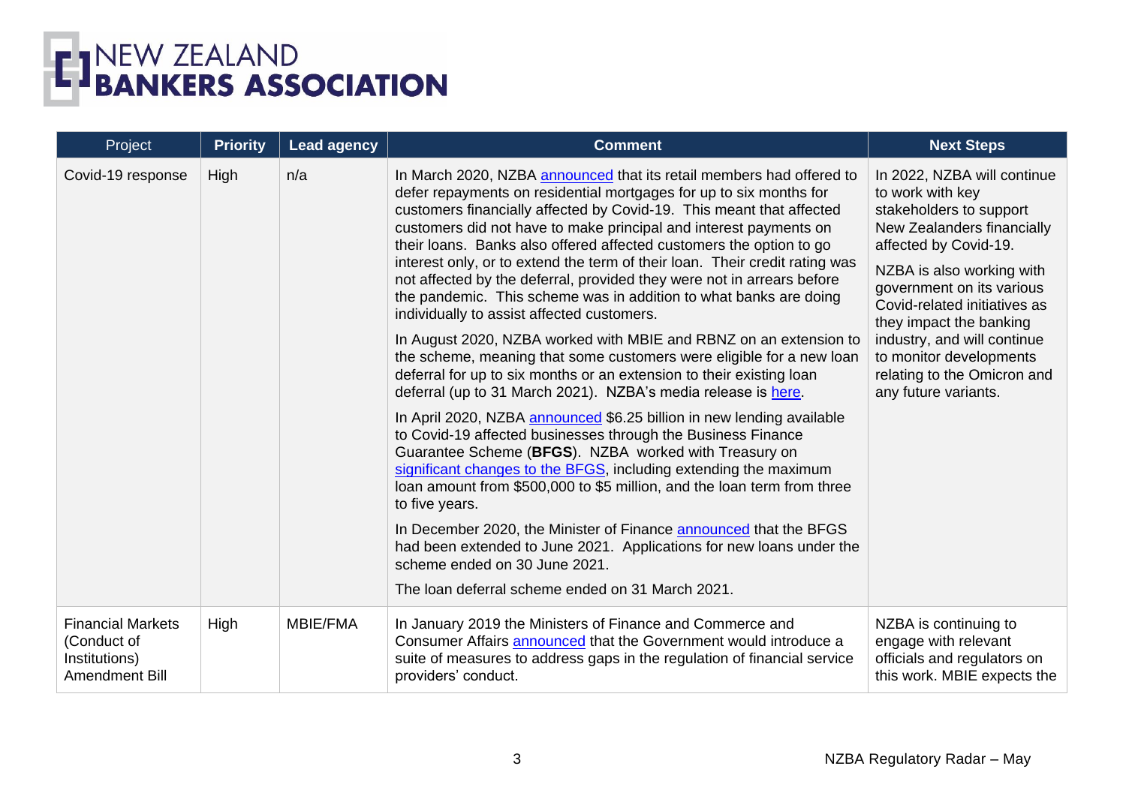| Project                                                                           | <b>Priority</b> | <b>Lead agency</b> | <b>Comment</b>                                                                                                                                                                                                                                                                                                                                                                                                                                                                                                                                                                                                                                                                                                                                                                                                                                                                                                                                                                                                                                                                                                                                                                                                                                                                                                                                                                                                                                                                                                                        | <b>Next Steps</b>                                                                                                                                                                                                                                                                                                                                                       |
|-----------------------------------------------------------------------------------|-----------------|--------------------|---------------------------------------------------------------------------------------------------------------------------------------------------------------------------------------------------------------------------------------------------------------------------------------------------------------------------------------------------------------------------------------------------------------------------------------------------------------------------------------------------------------------------------------------------------------------------------------------------------------------------------------------------------------------------------------------------------------------------------------------------------------------------------------------------------------------------------------------------------------------------------------------------------------------------------------------------------------------------------------------------------------------------------------------------------------------------------------------------------------------------------------------------------------------------------------------------------------------------------------------------------------------------------------------------------------------------------------------------------------------------------------------------------------------------------------------------------------------------------------------------------------------------------------|-------------------------------------------------------------------------------------------------------------------------------------------------------------------------------------------------------------------------------------------------------------------------------------------------------------------------------------------------------------------------|
| Covid-19 response                                                                 | High            | n/a                | In March 2020, NZBA announced that its retail members had offered to<br>defer repayments on residential mortgages for up to six months for<br>customers financially affected by Covid-19. This meant that affected<br>customers did not have to make principal and interest payments on<br>their loans. Banks also offered affected customers the option to go<br>interest only, or to extend the term of their loan. Their credit rating was<br>not affected by the deferral, provided they were not in arrears before<br>the pandemic. This scheme was in addition to what banks are doing<br>individually to assist affected customers.<br>In August 2020, NZBA worked with MBIE and RBNZ on an extension to<br>the scheme, meaning that some customers were eligible for a new loan<br>deferral for up to six months or an extension to their existing loan<br>deferral (up to 31 March 2021). NZBA's media release is here.<br>In April 2020, NZBA announced \$6.25 billion in new lending available<br>to Covid-19 affected businesses through the Business Finance<br>Guarantee Scheme (BFGS). NZBA worked with Treasury on<br>significant changes to the BFGS, including extending the maximum<br>loan amount from \$500,000 to \$5 million, and the loan term from three<br>to five years.<br>In December 2020, the Minister of Finance announced that the BFGS<br>had been extended to June 2021. Applications for new loans under the<br>scheme ended on 30 June 2021.<br>The loan deferral scheme ended on 31 March 2021. | In 2022, NZBA will continue<br>to work with key<br>stakeholders to support<br>New Zealanders financially<br>affected by Covid-19.<br>NZBA is also working with<br>government on its various<br>Covid-related initiatives as<br>they impact the banking<br>industry, and will continue<br>to monitor developments<br>relating to the Omicron and<br>any future variants. |
| <b>Financial Markets</b><br>(Conduct of<br>Institutions)<br><b>Amendment Bill</b> | High            | <b>MBIE/FMA</b>    | In January 2019 the Ministers of Finance and Commerce and<br>Consumer Affairs announced that the Government would introduce a<br>suite of measures to address gaps in the regulation of financial service<br>providers' conduct.                                                                                                                                                                                                                                                                                                                                                                                                                                                                                                                                                                                                                                                                                                                                                                                                                                                                                                                                                                                                                                                                                                                                                                                                                                                                                                      | NZBA is continuing to<br>engage with relevant<br>officials and regulators on<br>this work. MBIE expects the                                                                                                                                                                                                                                                             |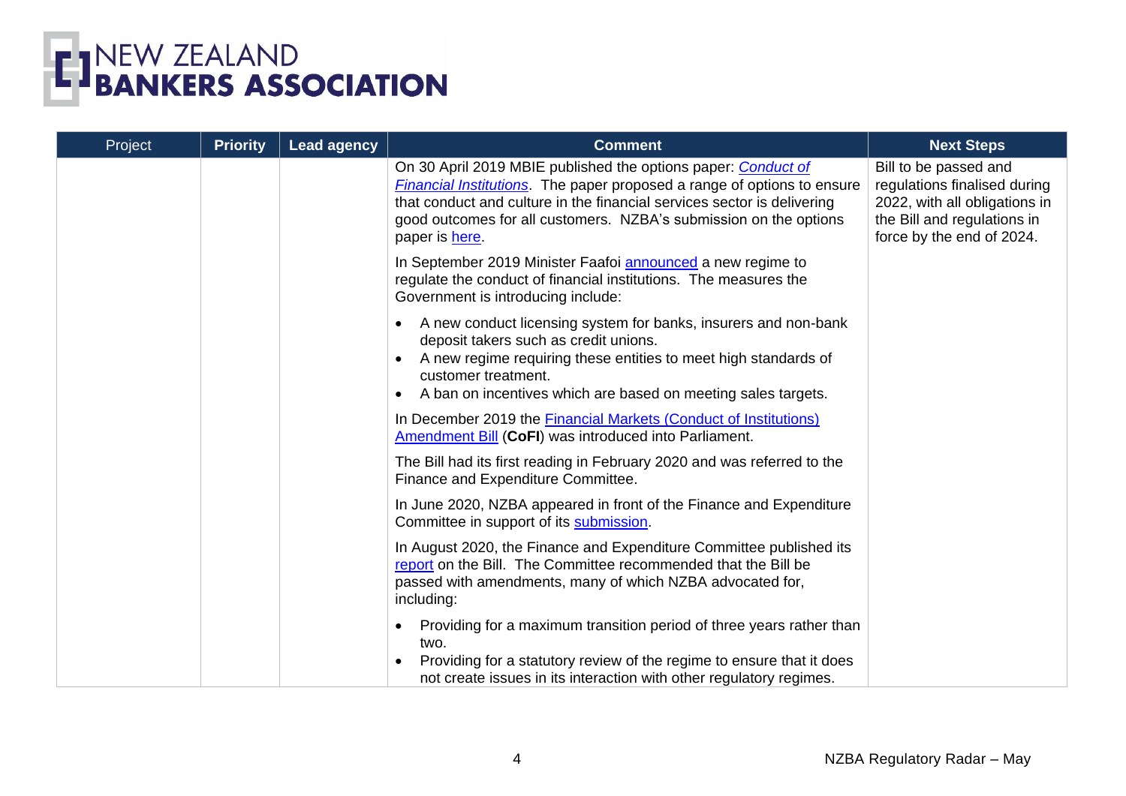

| Project | <b>Priority</b> | <b>Lead agency</b> | <b>Comment</b>                                                                                                                                                                                                                                                                                                     | <b>Next Steps</b>                                                                                                                                  |
|---------|-----------------|--------------------|--------------------------------------------------------------------------------------------------------------------------------------------------------------------------------------------------------------------------------------------------------------------------------------------------------------------|----------------------------------------------------------------------------------------------------------------------------------------------------|
|         |                 |                    | On 30 April 2019 MBIE published the options paper: Conduct of<br><b>Financial Institutions</b> . The paper proposed a range of options to ensure<br>that conduct and culture in the financial services sector is delivering<br>good outcomes for all customers. NZBA's submission on the options<br>paper is here. | Bill to be passed and<br>regulations finalised during<br>2022, with all obligations in<br>the Bill and regulations in<br>force by the end of 2024. |
|         |                 |                    | In September 2019 Minister Faafoi announced a new regime to<br>regulate the conduct of financial institutions. The measures the<br>Government is introducing include:                                                                                                                                              |                                                                                                                                                    |
|         |                 |                    | A new conduct licensing system for banks, insurers and non-bank<br>$\bullet$<br>deposit takers such as credit unions.<br>A new regime requiring these entities to meet high standards of<br>customer treatment.<br>A ban on incentives which are based on meeting sales targets.                                   |                                                                                                                                                    |
|         |                 |                    | In December 2019 the Financial Markets (Conduct of Institutions)<br>Amendment Bill (CoFI) was introduced into Parliament.                                                                                                                                                                                          |                                                                                                                                                    |
|         |                 |                    | The Bill had its first reading in February 2020 and was referred to the<br>Finance and Expenditure Committee.                                                                                                                                                                                                      |                                                                                                                                                    |
|         |                 |                    | In June 2020, NZBA appeared in front of the Finance and Expenditure<br>Committee in support of its submission.                                                                                                                                                                                                     |                                                                                                                                                    |
|         |                 |                    | In August 2020, the Finance and Expenditure Committee published its<br>report on the Bill. The Committee recommended that the Bill be<br>passed with amendments, many of which NZBA advocated for,<br>including:                                                                                                   |                                                                                                                                                    |
|         |                 |                    | Providing for a maximum transition period of three years rather than<br>٠<br>two.<br>Providing for a statutory review of the regime to ensure that it does<br>not create issues in its interaction with other regulatory regimes.                                                                                  |                                                                                                                                                    |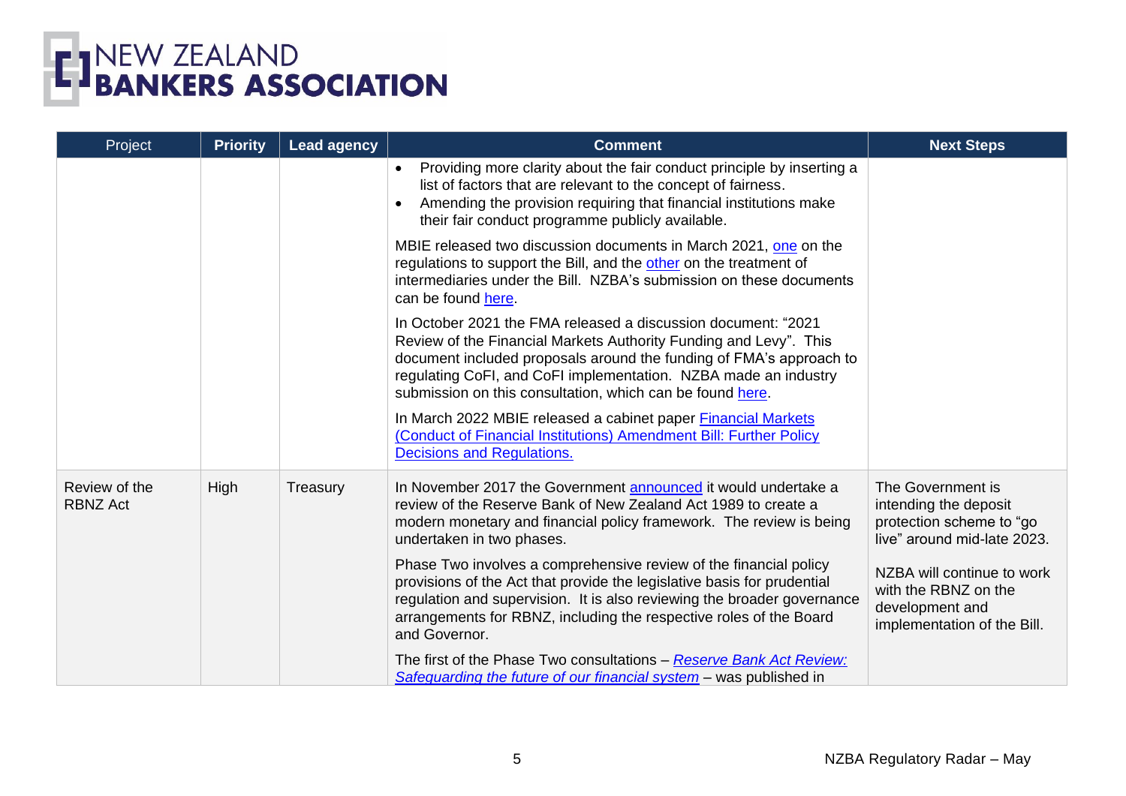

| Project                          | <b>Priority</b> | <b>Lead agency</b> | <b>Comment</b>                                                                                                                                                                                                                                                                                                                            | <b>Next Steps</b>                                                                                     |
|----------------------------------|-----------------|--------------------|-------------------------------------------------------------------------------------------------------------------------------------------------------------------------------------------------------------------------------------------------------------------------------------------------------------------------------------------|-------------------------------------------------------------------------------------------------------|
|                                  |                 |                    | Providing more clarity about the fair conduct principle by inserting a<br>$\bullet$<br>list of factors that are relevant to the concept of fairness.<br>Amending the provision requiring that financial institutions make<br>$\bullet$<br>their fair conduct programme publicly available.                                                |                                                                                                       |
|                                  |                 |                    | MBIE released two discussion documents in March 2021, one on the<br>regulations to support the Bill, and the other on the treatment of<br>intermediaries under the Bill. NZBA's submission on these documents<br>can be found here.                                                                                                       |                                                                                                       |
|                                  |                 |                    | In October 2021 the FMA released a discussion document: "2021<br>Review of the Financial Markets Authority Funding and Levy". This<br>document included proposals around the funding of FMA's approach to<br>regulating CoFI, and CoFI implementation. NZBA made an industry<br>submission on this consultation, which can be found here. |                                                                                                       |
|                                  |                 |                    | In March 2022 MBIE released a cabinet paper Financial Markets<br>(Conduct of Financial Institutions) Amendment Bill: Further Policy<br><b>Decisions and Regulations.</b>                                                                                                                                                                  |                                                                                                       |
| Review of the<br><b>RBNZ Act</b> | High            | Treasury           | In November 2017 the Government announced it would undertake a<br>review of the Reserve Bank of New Zealand Act 1989 to create a<br>modern monetary and financial policy framework. The review is being<br>undertaken in two phases.                                                                                                      | The Government is<br>intending the deposit<br>protection scheme to "go<br>live" around mid-late 2023. |
|                                  |                 |                    | Phase Two involves a comprehensive review of the financial policy<br>provisions of the Act that provide the legislative basis for prudential<br>regulation and supervision. It is also reviewing the broader governance<br>arrangements for RBNZ, including the respective roles of the Board<br>and Governor.                            | NZBA will continue to work<br>with the RBNZ on the<br>development and<br>implementation of the Bill.  |
|                                  |                 |                    | The first of the Phase Two consultations - Reserve Bank Act Review:<br>Safeguarding the future of our financial system – was published in                                                                                                                                                                                                 |                                                                                                       |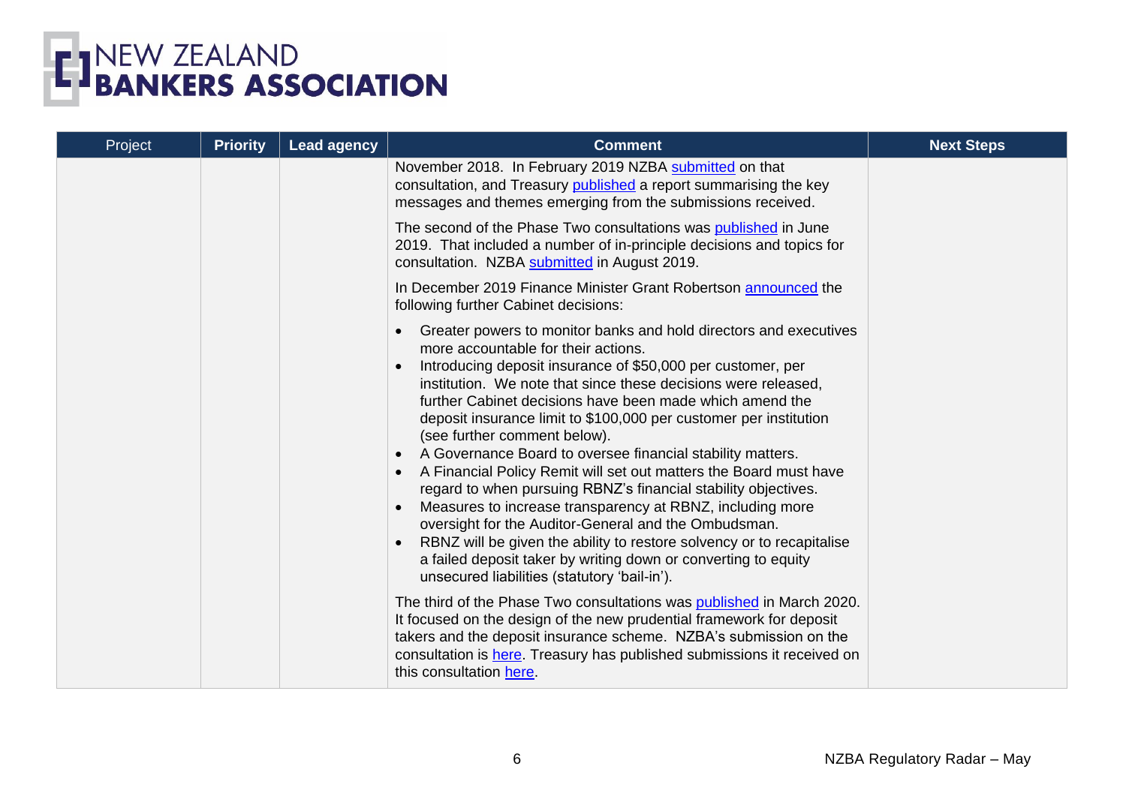

| Project | <b>Priority</b> | <b>Lead agency</b> | <b>Comment</b>                                                                                                                                                                                                                                                                                                                                                                                                                                                                                                                                                                                                                                                                                                                                                                                                                                                                                                                  | <b>Next Steps</b> |
|---------|-----------------|--------------------|---------------------------------------------------------------------------------------------------------------------------------------------------------------------------------------------------------------------------------------------------------------------------------------------------------------------------------------------------------------------------------------------------------------------------------------------------------------------------------------------------------------------------------------------------------------------------------------------------------------------------------------------------------------------------------------------------------------------------------------------------------------------------------------------------------------------------------------------------------------------------------------------------------------------------------|-------------------|
|         |                 |                    | November 2018. In February 2019 NZBA submitted on that<br>consultation, and Treasury published a report summarising the key<br>messages and themes emerging from the submissions received.                                                                                                                                                                                                                                                                                                                                                                                                                                                                                                                                                                                                                                                                                                                                      |                   |
|         |                 |                    | The second of the Phase Two consultations was published in June<br>2019. That included a number of in-principle decisions and topics for<br>consultation. NZBA submitted in August 2019.                                                                                                                                                                                                                                                                                                                                                                                                                                                                                                                                                                                                                                                                                                                                        |                   |
|         |                 |                    | In December 2019 Finance Minister Grant Robertson announced the<br>following further Cabinet decisions:                                                                                                                                                                                                                                                                                                                                                                                                                                                                                                                                                                                                                                                                                                                                                                                                                         |                   |
|         |                 |                    | Greater powers to monitor banks and hold directors and executives<br>more accountable for their actions.<br>Introducing deposit insurance of \$50,000 per customer, per<br>institution. We note that since these decisions were released,<br>further Cabinet decisions have been made which amend the<br>deposit insurance limit to \$100,000 per customer per institution<br>(see further comment below).<br>A Governance Board to oversee financial stability matters.<br>A Financial Policy Remit will set out matters the Board must have<br>regard to when pursuing RBNZ's financial stability objectives.<br>Measures to increase transparency at RBNZ, including more<br>oversight for the Auditor-General and the Ombudsman.<br>RBNZ will be given the ability to restore solvency or to recapitalise<br>a failed deposit taker by writing down or converting to equity<br>unsecured liabilities (statutory 'bail-in'). |                   |
|         |                 |                    | The third of the Phase Two consultations was published in March 2020.<br>It focused on the design of the new prudential framework for deposit<br>takers and the deposit insurance scheme. NZBA's submission on the<br>consultation is here. Treasury has published submissions it received on<br>this consultation here.                                                                                                                                                                                                                                                                                                                                                                                                                                                                                                                                                                                                        |                   |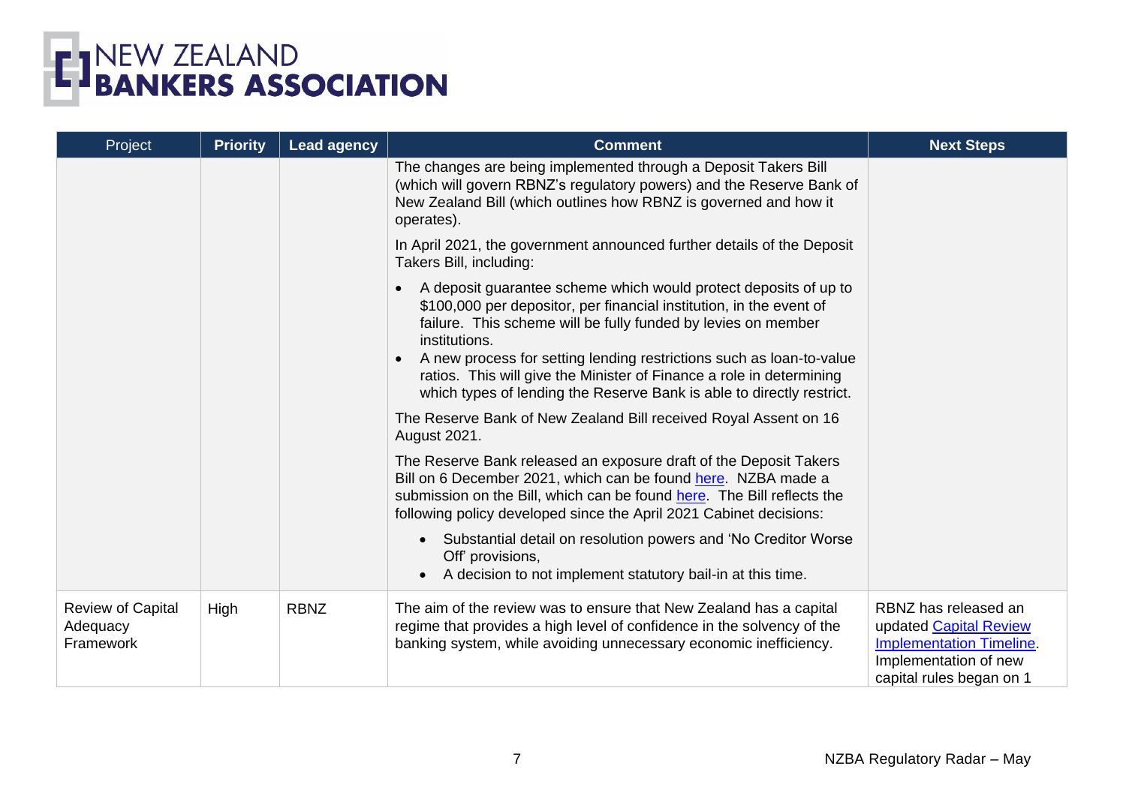

| Project                                           | <b>Priority</b> | <b>Lead agency</b> | <b>Comment</b>                                                                                                                                                                                                                                                                                                                                                                                                                                                  | <b>Next Steps</b>                                                                                                                      |
|---------------------------------------------------|-----------------|--------------------|-----------------------------------------------------------------------------------------------------------------------------------------------------------------------------------------------------------------------------------------------------------------------------------------------------------------------------------------------------------------------------------------------------------------------------------------------------------------|----------------------------------------------------------------------------------------------------------------------------------------|
|                                                   |                 |                    | The changes are being implemented through a Deposit Takers Bill<br>(which will govern RBNZ's regulatory powers) and the Reserve Bank of<br>New Zealand Bill (which outlines how RBNZ is governed and how it<br>operates).                                                                                                                                                                                                                                       |                                                                                                                                        |
|                                                   |                 |                    | In April 2021, the government announced further details of the Deposit<br>Takers Bill, including:                                                                                                                                                                                                                                                                                                                                                               |                                                                                                                                        |
|                                                   |                 |                    | A deposit guarantee scheme which would protect deposits of up to<br>\$100,000 per depositor, per financial institution, in the event of<br>failure. This scheme will be fully funded by levies on member<br>institutions.<br>A new process for setting lending restrictions such as loan-to-value<br>$\bullet$<br>ratios. This will give the Minister of Finance a role in determining<br>which types of lending the Reserve Bank is able to directly restrict. |                                                                                                                                        |
|                                                   |                 |                    | The Reserve Bank of New Zealand Bill received Royal Assent on 16<br>August 2021.                                                                                                                                                                                                                                                                                                                                                                                |                                                                                                                                        |
|                                                   |                 |                    | The Reserve Bank released an exposure draft of the Deposit Takers<br>Bill on 6 December 2021, which can be found here. NZBA made a<br>submission on the Bill, which can be found here. The Bill reflects the<br>following policy developed since the April 2021 Cabinet decisions:                                                                                                                                                                              |                                                                                                                                        |
|                                                   |                 |                    | Substantial detail on resolution powers and 'No Creditor Worse<br>Off' provisions,<br>A decision to not implement statutory bail-in at this time.                                                                                                                                                                                                                                                                                                               |                                                                                                                                        |
| <b>Review of Capital</b><br>Adequacy<br>Framework | High            | <b>RBNZ</b>        | The aim of the review was to ensure that New Zealand has a capital<br>regime that provides a high level of confidence in the solvency of the<br>banking system, while avoiding unnecessary economic inefficiency.                                                                                                                                                                                                                                               | RBNZ has released an<br>updated Capital Review<br><b>Implementation Timeline.</b><br>Implementation of new<br>capital rules began on 1 |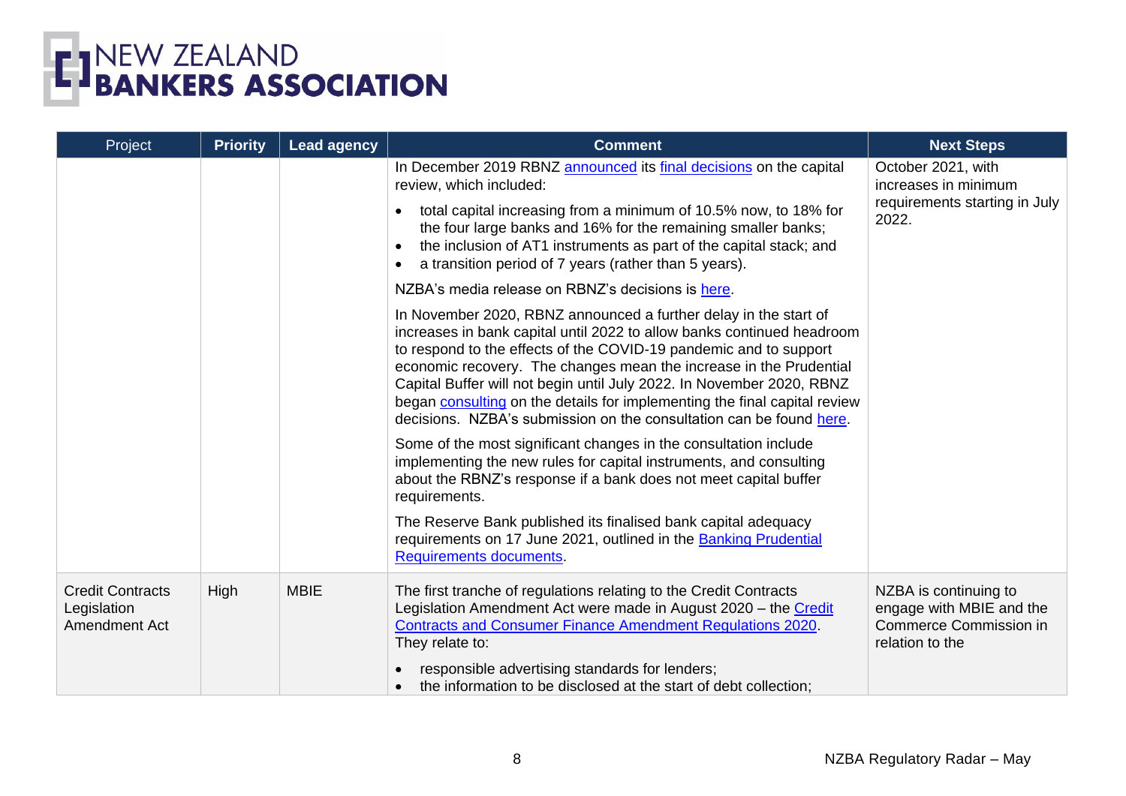

| Project                                                 | <b>Priority</b> | <b>Lead agency</b> | <b>Comment</b>                                                                                                                                                                                                                                                                                                                                                                                                                                                                                                     | <b>Next Steps</b>                                                                                     |
|---------------------------------------------------------|-----------------|--------------------|--------------------------------------------------------------------------------------------------------------------------------------------------------------------------------------------------------------------------------------------------------------------------------------------------------------------------------------------------------------------------------------------------------------------------------------------------------------------------------------------------------------------|-------------------------------------------------------------------------------------------------------|
|                                                         |                 |                    | In December 2019 RBNZ announced its final decisions on the capital<br>review, which included:                                                                                                                                                                                                                                                                                                                                                                                                                      | October 2021, with<br>increases in minimum                                                            |
|                                                         |                 |                    | total capital increasing from a minimum of 10.5% now, to 18% for<br>the four large banks and 16% for the remaining smaller banks;<br>the inclusion of AT1 instruments as part of the capital stack; and<br>a transition period of 7 years (rather than 5 years).                                                                                                                                                                                                                                                   | requirements starting in July<br>2022.                                                                |
|                                                         |                 |                    | NZBA's media release on RBNZ's decisions is here.                                                                                                                                                                                                                                                                                                                                                                                                                                                                  |                                                                                                       |
|                                                         |                 |                    | In November 2020, RBNZ announced a further delay in the start of<br>increases in bank capital until 2022 to allow banks continued headroom<br>to respond to the effects of the COVID-19 pandemic and to support<br>economic recovery. The changes mean the increase in the Prudential<br>Capital Buffer will not begin until July 2022. In November 2020, RBNZ<br>began consulting on the details for implementing the final capital review<br>decisions. NZBA's submission on the consultation can be found here. |                                                                                                       |
|                                                         |                 |                    | Some of the most significant changes in the consultation include<br>implementing the new rules for capital instruments, and consulting<br>about the RBNZ's response if a bank does not meet capital buffer<br>requirements.                                                                                                                                                                                                                                                                                        |                                                                                                       |
|                                                         |                 |                    | The Reserve Bank published its finalised bank capital adequacy<br>requirements on 17 June 2021, outlined in the Banking Prudential<br>Requirements documents.                                                                                                                                                                                                                                                                                                                                                      |                                                                                                       |
| <b>Credit Contracts</b><br>Legislation<br>Amendment Act | High            | <b>MBIE</b>        | The first tranche of regulations relating to the Credit Contracts<br>Legislation Amendment Act were made in August 2020 - the Credit<br><b>Contracts and Consumer Finance Amendment Regulations 2020.</b><br>They relate to:                                                                                                                                                                                                                                                                                       | NZBA is continuing to<br>engage with MBIE and the<br><b>Commerce Commission in</b><br>relation to the |
|                                                         |                 |                    | responsible advertising standards for lenders;<br>the information to be disclosed at the start of debt collection;                                                                                                                                                                                                                                                                                                                                                                                                 |                                                                                                       |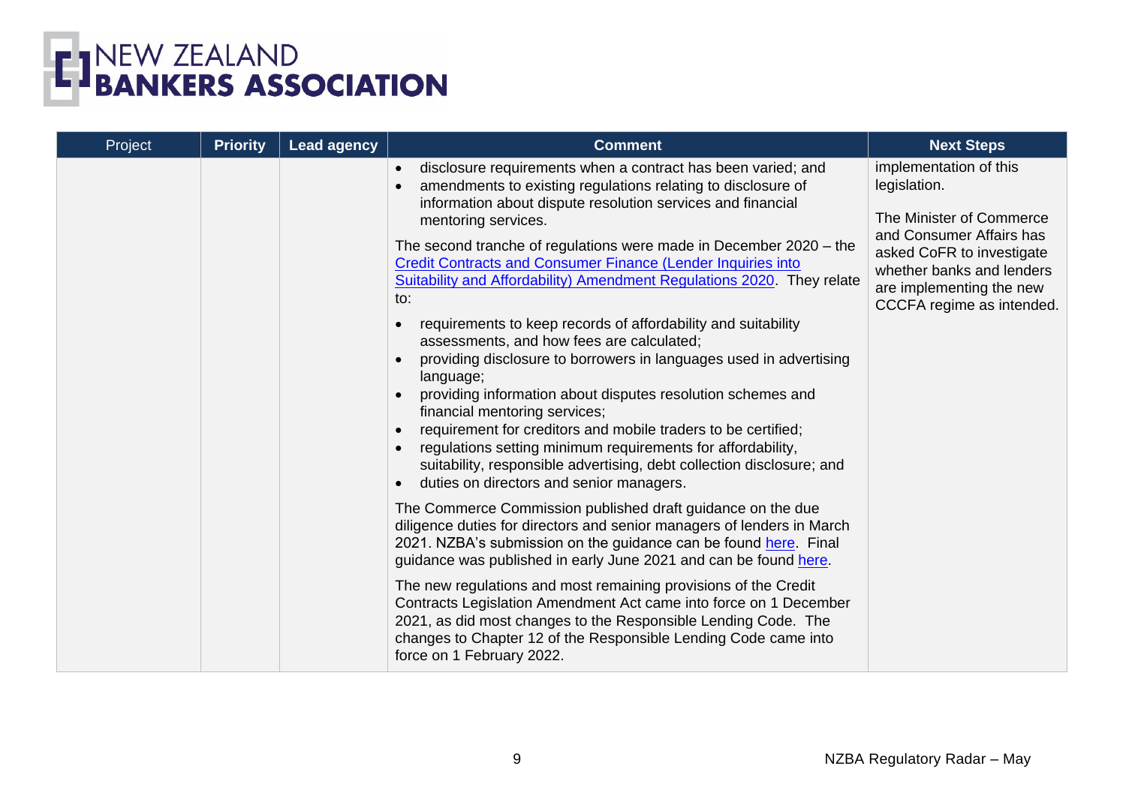

| Project | <b>Priority</b> | <b>Lead agency</b> | <b>Comment</b>                                                                                                                                                                                                                                                                                                                                                                                                                                                                                                                                                                                                                                                                                                                                                                                                                                                                                                                                                                                                                                                                                                                                                                                                                                                                                                                                                                                                                                                                                                                                                                                                 | <b>Next Steps</b>                                                                                                                                                                                                 |
|---------|-----------------|--------------------|----------------------------------------------------------------------------------------------------------------------------------------------------------------------------------------------------------------------------------------------------------------------------------------------------------------------------------------------------------------------------------------------------------------------------------------------------------------------------------------------------------------------------------------------------------------------------------------------------------------------------------------------------------------------------------------------------------------------------------------------------------------------------------------------------------------------------------------------------------------------------------------------------------------------------------------------------------------------------------------------------------------------------------------------------------------------------------------------------------------------------------------------------------------------------------------------------------------------------------------------------------------------------------------------------------------------------------------------------------------------------------------------------------------------------------------------------------------------------------------------------------------------------------------------------------------------------------------------------------------|-------------------------------------------------------------------------------------------------------------------------------------------------------------------------------------------------------------------|
|         |                 |                    | disclosure requirements when a contract has been varied; and<br>$\bullet$<br>amendments to existing regulations relating to disclosure of<br>information about dispute resolution services and financial<br>mentoring services.<br>The second tranche of regulations were made in December 2020 – the<br><b>Credit Contracts and Consumer Finance (Lender Inquiries into</b><br>Suitability and Affordability) Amendment Regulations 2020. They relate<br>to:<br>requirements to keep records of affordability and suitability<br>assessments, and how fees are calculated;<br>providing disclosure to borrowers in languages used in advertising<br>language;<br>providing information about disputes resolution schemes and<br>financial mentoring services;<br>requirement for creditors and mobile traders to be certified;<br>regulations setting minimum requirements for affordability,<br>suitability, responsible advertising, debt collection disclosure; and<br>duties on directors and senior managers.<br>The Commerce Commission published draft guidance on the due<br>diligence duties for directors and senior managers of lenders in March<br>2021. NZBA's submission on the guidance can be found here. Final<br>guidance was published in early June 2021 and can be found here.<br>The new regulations and most remaining provisions of the Credit<br>Contracts Legislation Amendment Act came into force on 1 December<br>2021, as did most changes to the Responsible Lending Code. The<br>changes to Chapter 12 of the Responsible Lending Code came into<br>force on 1 February 2022. | implementation of this<br>legislation.<br>The Minister of Commerce<br>and Consumer Affairs has<br>asked CoFR to investigate<br>whether banks and lenders<br>are implementing the new<br>CCCFA regime as intended. |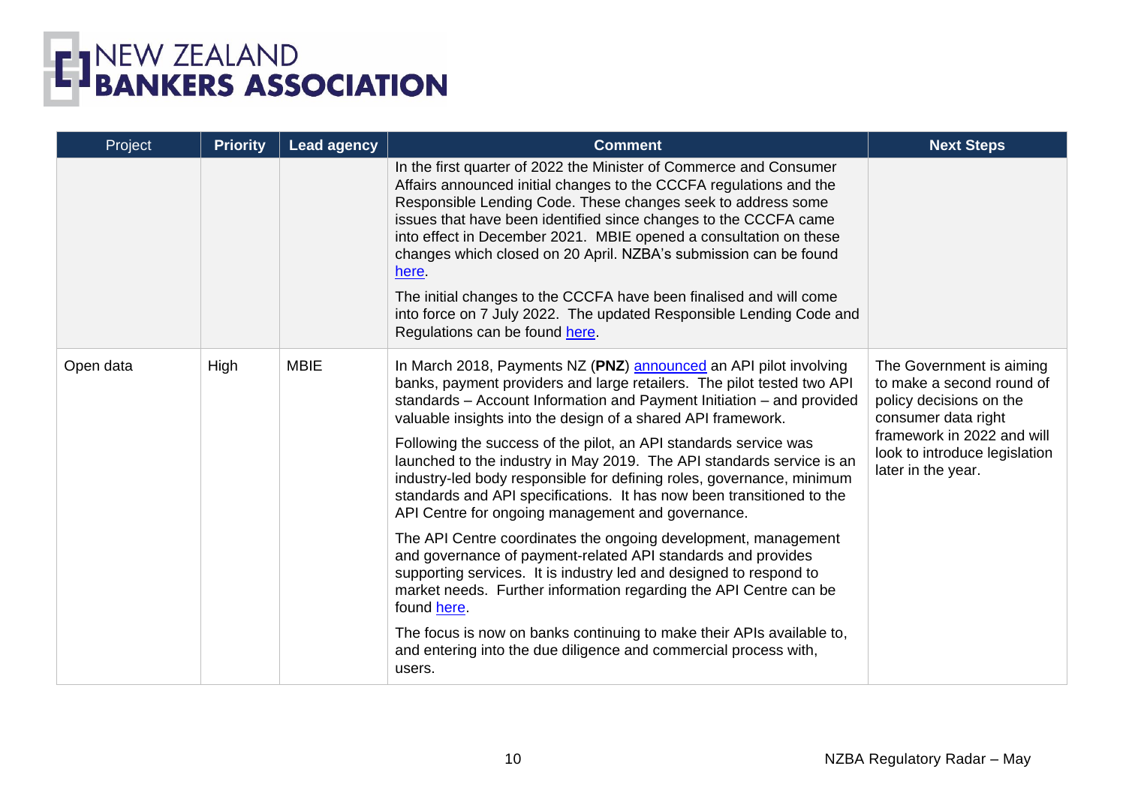

| Project   | <b>Priority</b> | <b>Lead agency</b> | <b>Comment</b>                                                                                                                                                                                                                                                                                                                                                                                                                                                                                                                                                                                                                           | <b>Next Steps</b>                                                                                                                                                                            |
|-----------|-----------------|--------------------|------------------------------------------------------------------------------------------------------------------------------------------------------------------------------------------------------------------------------------------------------------------------------------------------------------------------------------------------------------------------------------------------------------------------------------------------------------------------------------------------------------------------------------------------------------------------------------------------------------------------------------------|----------------------------------------------------------------------------------------------------------------------------------------------------------------------------------------------|
|           |                 |                    | In the first quarter of 2022 the Minister of Commerce and Consumer<br>Affairs announced initial changes to the CCCFA regulations and the<br>Responsible Lending Code. These changes seek to address some<br>issues that have been identified since changes to the CCCFA came<br>into effect in December 2021. MBIE opened a consultation on these<br>changes which closed on 20 April. NZBA's submission can be found<br>here.<br>The initial changes to the CCCFA have been finalised and will come<br>into force on 7 July 2022. The updated Responsible Lending Code and<br>Regulations can be found here.                            |                                                                                                                                                                                              |
| Open data | High            | <b>MBIE</b>        | In March 2018, Payments NZ (PNZ) announced an API pilot involving<br>banks, payment providers and large retailers. The pilot tested two API<br>standards - Account Information and Payment Initiation - and provided<br>valuable insights into the design of a shared API framework.<br>Following the success of the pilot, an API standards service was<br>launched to the industry in May 2019. The API standards service is an<br>industry-led body responsible for defining roles, governance, minimum<br>standards and API specifications. It has now been transitioned to the<br>API Centre for ongoing management and governance. | The Government is aiming<br>to make a second round of<br>policy decisions on the<br>consumer data right<br>framework in 2022 and will<br>look to introduce legislation<br>later in the year. |
|           |                 |                    | The API Centre coordinates the ongoing development, management<br>and governance of payment-related API standards and provides<br>supporting services. It is industry led and designed to respond to<br>market needs. Further information regarding the API Centre can be<br>found here.                                                                                                                                                                                                                                                                                                                                                 |                                                                                                                                                                                              |
|           |                 |                    | The focus is now on banks continuing to make their APIs available to,<br>and entering into the due diligence and commercial process with,<br>users.                                                                                                                                                                                                                                                                                                                                                                                                                                                                                      |                                                                                                                                                                                              |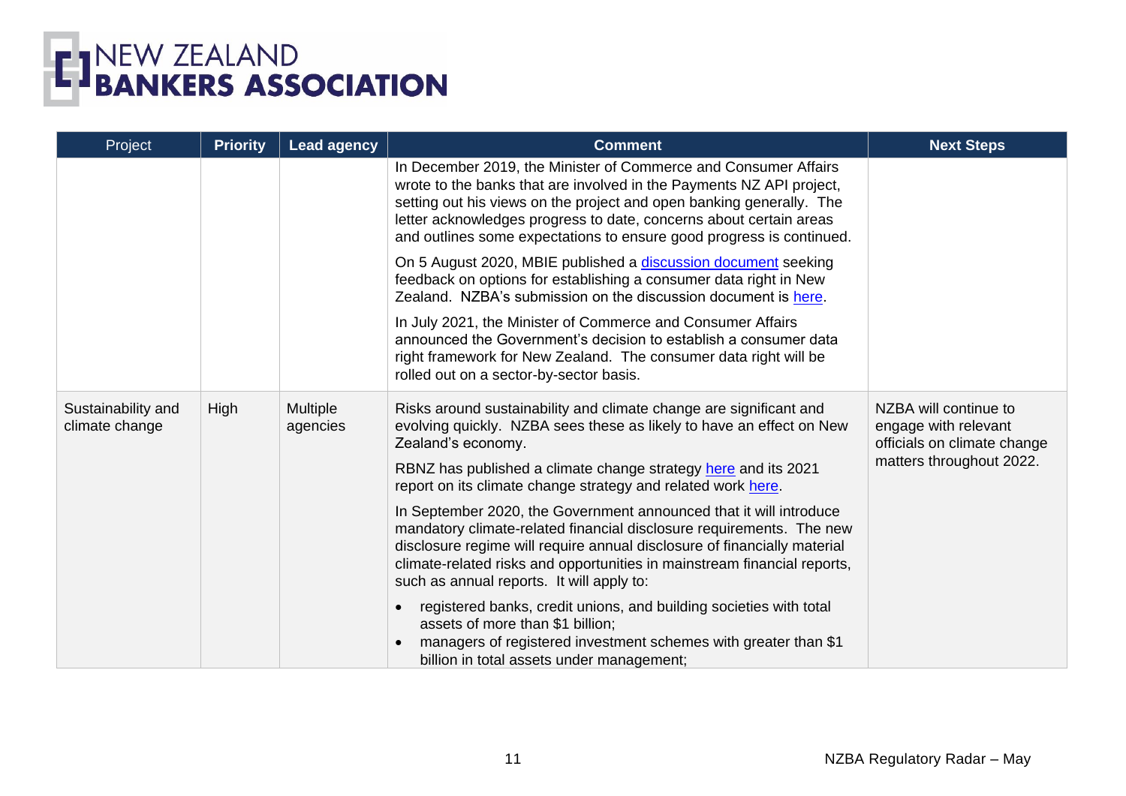| Project                              | <b>Priority</b> | <b>Lead agency</b>   | <b>Comment</b>                                                                                                                                                                                                                                                                                                                                                | <b>Next Steps</b>                                                            |
|--------------------------------------|-----------------|----------------------|---------------------------------------------------------------------------------------------------------------------------------------------------------------------------------------------------------------------------------------------------------------------------------------------------------------------------------------------------------------|------------------------------------------------------------------------------|
|                                      |                 |                      | In December 2019, the Minister of Commerce and Consumer Affairs<br>wrote to the banks that are involved in the Payments NZ API project,<br>setting out his views on the project and open banking generally. The<br>letter acknowledges progress to date, concerns about certain areas<br>and outlines some expectations to ensure good progress is continued. |                                                                              |
|                                      |                 |                      | On 5 August 2020, MBIE published a discussion document seeking<br>feedback on options for establishing a consumer data right in New<br>Zealand. NZBA's submission on the discussion document is here.                                                                                                                                                         |                                                                              |
|                                      |                 |                      | In July 2021, the Minister of Commerce and Consumer Affairs<br>announced the Government's decision to establish a consumer data<br>right framework for New Zealand. The consumer data right will be<br>rolled out on a sector-by-sector basis.                                                                                                                |                                                                              |
| Sustainability and<br>climate change | High            | Multiple<br>agencies | Risks around sustainability and climate change are significant and<br>evolving quickly. NZBA sees these as likely to have an effect on New<br>Zealand's economy.                                                                                                                                                                                              | NZBA will continue to<br>engage with relevant<br>officials on climate change |
|                                      |                 |                      | RBNZ has published a climate change strategy here and its 2021<br>report on its climate change strategy and related work here.                                                                                                                                                                                                                                | matters throughout 2022.                                                     |
|                                      |                 |                      | In September 2020, the Government announced that it will introduce<br>mandatory climate-related financial disclosure requirements. The new<br>disclosure regime will require annual disclosure of financially material<br>climate-related risks and opportunities in mainstream financial reports,<br>such as annual reports. It will apply to:               |                                                                              |
|                                      |                 |                      | registered banks, credit unions, and building societies with total<br>$\bullet$<br>assets of more than \$1 billion;<br>managers of registered investment schemes with greater than \$1<br>billion in total assets under management;                                                                                                                           |                                                                              |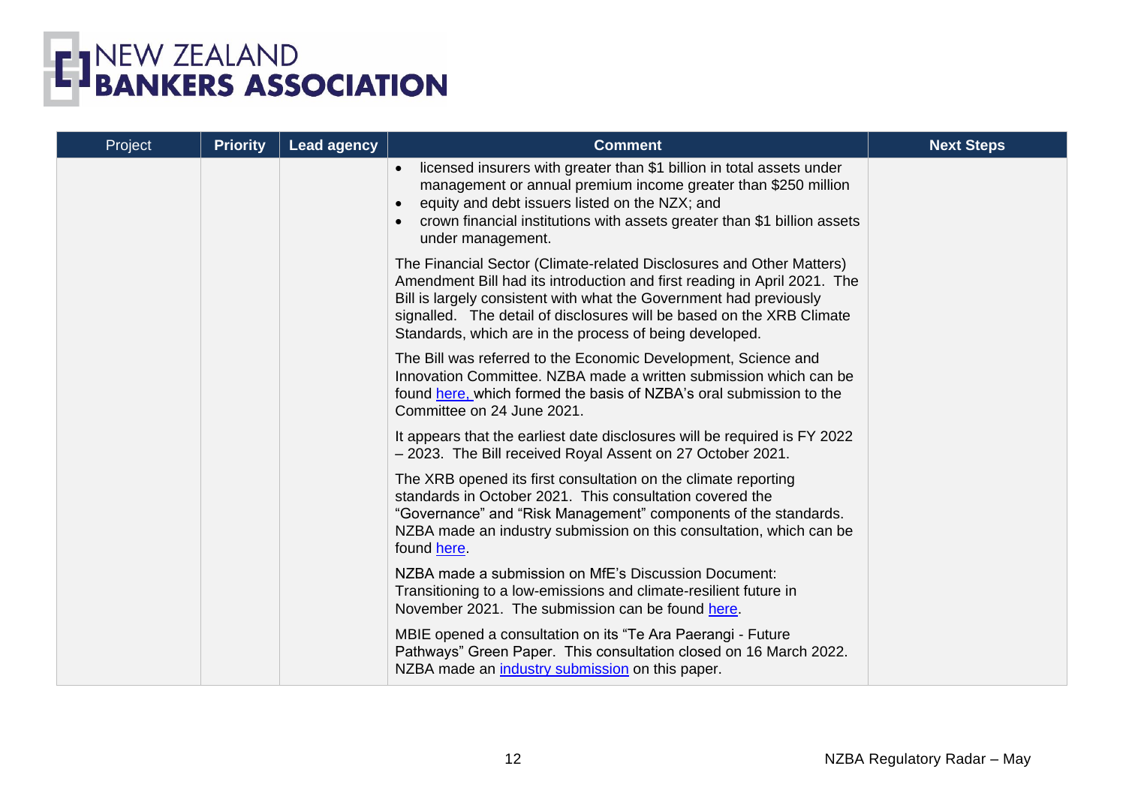

| Project | <b>Priority</b> | <b>Lead agency</b> | <b>Comment</b>                                                                                                                                                                                                                                                                                                                                             | <b>Next Steps</b> |
|---------|-----------------|--------------------|------------------------------------------------------------------------------------------------------------------------------------------------------------------------------------------------------------------------------------------------------------------------------------------------------------------------------------------------------------|-------------------|
|         |                 |                    | licensed insurers with greater than \$1 billion in total assets under<br>$\bullet$<br>management or annual premium income greater than \$250 million<br>equity and debt issuers listed on the NZX; and<br>crown financial institutions with assets greater than \$1 billion assets<br>under management.                                                    |                   |
|         |                 |                    | The Financial Sector (Climate-related Disclosures and Other Matters)<br>Amendment Bill had its introduction and first reading in April 2021. The<br>Bill is largely consistent with what the Government had previously<br>signalled. The detail of disclosures will be based on the XRB Climate<br>Standards, which are in the process of being developed. |                   |
|         |                 |                    | The Bill was referred to the Economic Development, Science and<br>Innovation Committee, NZBA made a written submission which can be<br>found here, which formed the basis of NZBA's oral submission to the<br>Committee on 24 June 2021.                                                                                                                   |                   |
|         |                 |                    | It appears that the earliest date disclosures will be required is FY 2022<br>- 2023. The Bill received Royal Assent on 27 October 2021.                                                                                                                                                                                                                    |                   |
|         |                 |                    | The XRB opened its first consultation on the climate reporting<br>standards in October 2021. This consultation covered the<br>"Governance" and "Risk Management" components of the standards.<br>NZBA made an industry submission on this consultation, which can be<br>found here.                                                                        |                   |
|         |                 |                    | NZBA made a submission on MfE's Discussion Document:<br>Transitioning to a low-emissions and climate-resilient future in<br>November 2021. The submission can be found here.                                                                                                                                                                               |                   |
|         |                 |                    | MBIE opened a consultation on its "Te Ara Paerangi - Future<br>Pathways" Green Paper. This consultation closed on 16 March 2022.<br>NZBA made an industry submission on this paper.                                                                                                                                                                        |                   |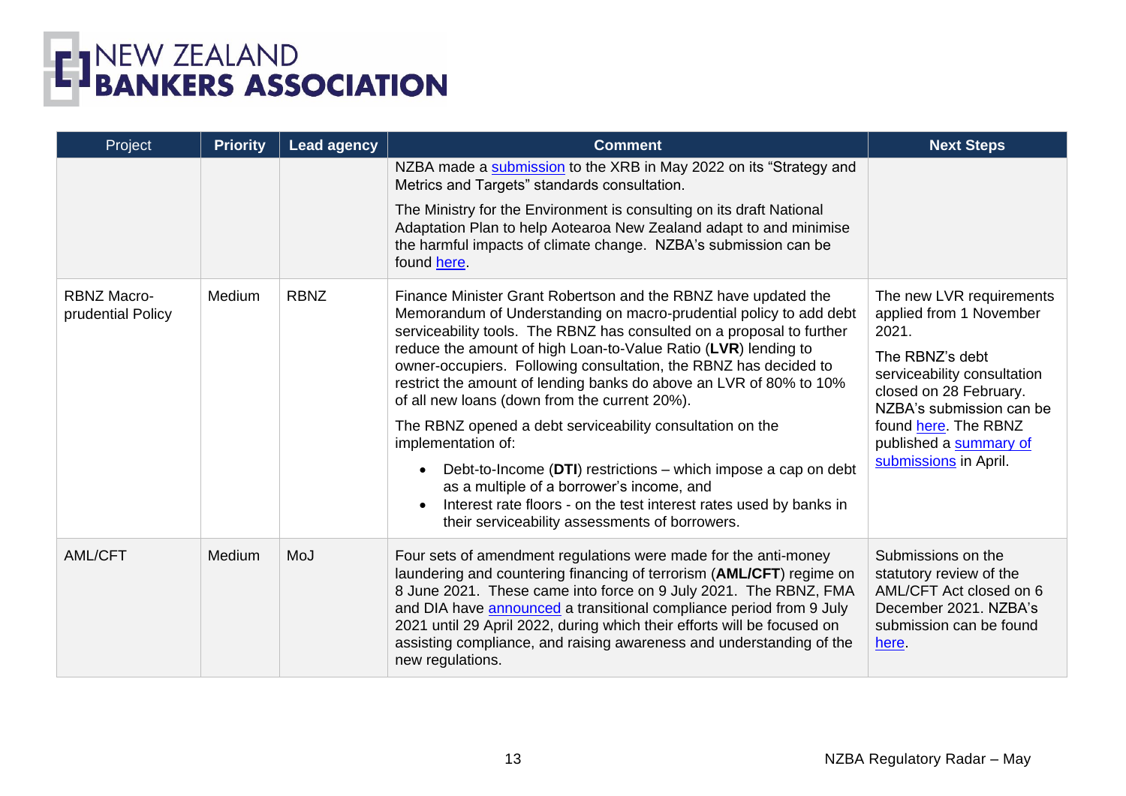

| Project                                 | <b>Priority</b> | <b>Lead agency</b> | <b>Comment</b>                                                                                                                                                                                                                                                                                                                                                                                                                                                                                                                                                                                                                                                                                                                                                                                       | <b>Next Steps</b>                                                                                                                                                                                                                               |
|-----------------------------------------|-----------------|--------------------|------------------------------------------------------------------------------------------------------------------------------------------------------------------------------------------------------------------------------------------------------------------------------------------------------------------------------------------------------------------------------------------------------------------------------------------------------------------------------------------------------------------------------------------------------------------------------------------------------------------------------------------------------------------------------------------------------------------------------------------------------------------------------------------------------|-------------------------------------------------------------------------------------------------------------------------------------------------------------------------------------------------------------------------------------------------|
|                                         |                 |                    | NZBA made a submission to the XRB in May 2022 on its "Strategy and<br>Metrics and Targets" standards consultation.                                                                                                                                                                                                                                                                                                                                                                                                                                                                                                                                                                                                                                                                                   |                                                                                                                                                                                                                                                 |
|                                         |                 |                    | The Ministry for the Environment is consulting on its draft National<br>Adaptation Plan to help Aotearoa New Zealand adapt to and minimise<br>the harmful impacts of climate change. NZBA's submission can be<br>found here.                                                                                                                                                                                                                                                                                                                                                                                                                                                                                                                                                                         |                                                                                                                                                                                                                                                 |
| <b>RBNZ Macro-</b><br>prudential Policy | Medium          | <b>RBNZ</b>        | Finance Minister Grant Robertson and the RBNZ have updated the<br>Memorandum of Understanding on macro-prudential policy to add debt<br>serviceability tools. The RBNZ has consulted on a proposal to further<br>reduce the amount of high Loan-to-Value Ratio (LVR) lending to<br>owner-occupiers. Following consultation, the RBNZ has decided to<br>restrict the amount of lending banks do above an LVR of 80% to 10%<br>of all new loans (down from the current 20%).<br>The RBNZ opened a debt serviceability consultation on the<br>implementation of:<br>Debt-to-Income (DTI) restrictions – which impose a cap on debt<br>as a multiple of a borrower's income, and<br>Interest rate floors - on the test interest rates used by banks in<br>their serviceability assessments of borrowers. | The new LVR requirements<br>applied from 1 November<br>2021.<br>The RBNZ's debt<br>serviceability consultation<br>closed on 28 February.<br>NZBA's submission can be<br>found here. The RBNZ<br>published a summary of<br>submissions in April. |
| <b>AML/CFT</b>                          | <b>Medium</b>   | MoJ                | Four sets of amendment regulations were made for the anti-money<br>laundering and countering financing of terrorism (AML/CFT) regime on<br>8 June 2021. These came into force on 9 July 2021. The RBNZ, FMA<br>and DIA have announced a transitional compliance period from 9 July<br>2021 until 29 April 2022, during which their efforts will be focused on<br>assisting compliance, and raising awareness and understanding of the<br>new regulations.                                                                                                                                                                                                                                                                                                                                            | Submissions on the<br>statutory review of the<br>AML/CFT Act closed on 6<br>December 2021. NZBA's<br>submission can be found<br>here.                                                                                                           |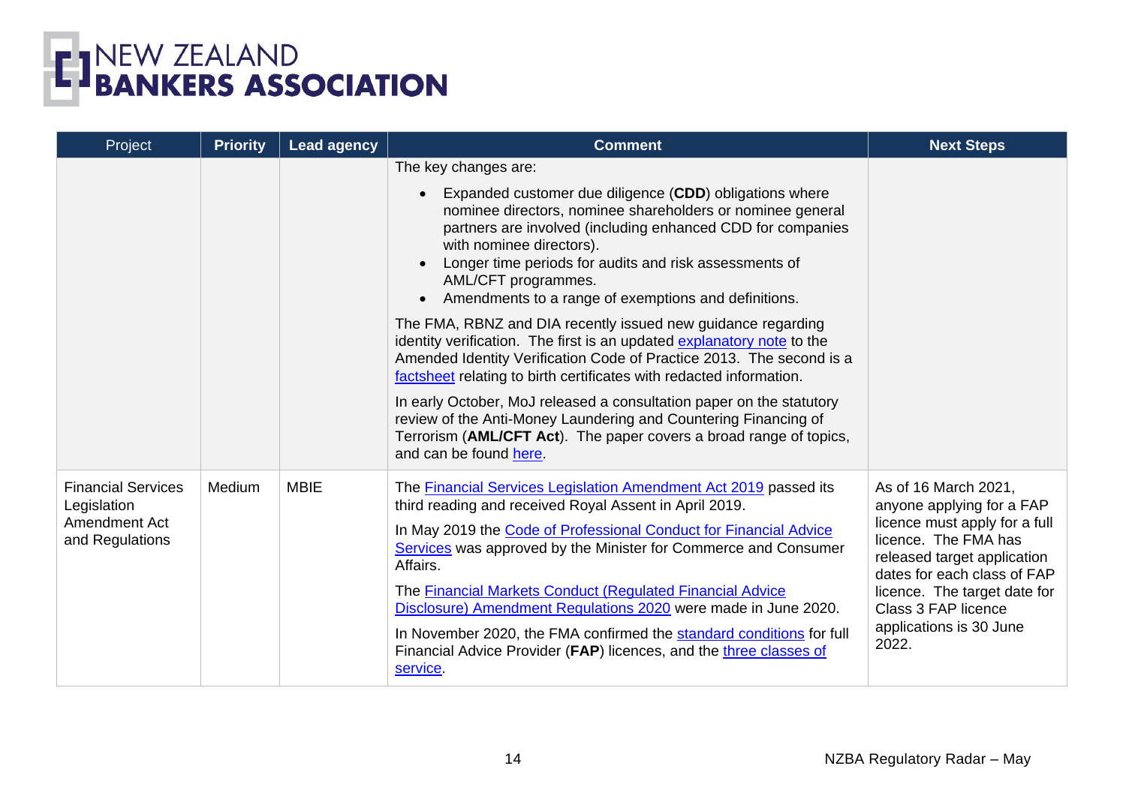

| Project                                                                      | <b>Priority</b> | <b>Lead agency</b> | <b>Comment</b>                                                                                                                                                                                                                                                                                                                                            | <b>Next Steps</b>                                                                                                                                                                                                                                                   |
|------------------------------------------------------------------------------|-----------------|--------------------|-----------------------------------------------------------------------------------------------------------------------------------------------------------------------------------------------------------------------------------------------------------------------------------------------------------------------------------------------------------|---------------------------------------------------------------------------------------------------------------------------------------------------------------------------------------------------------------------------------------------------------------------|
|                                                                              |                 |                    | The key changes are:                                                                                                                                                                                                                                                                                                                                      |                                                                                                                                                                                                                                                                     |
|                                                                              |                 |                    | Expanded customer due diligence (CDD) obligations where<br>nominee directors, nominee shareholders or nominee general<br>partners are involved (including enhanced CDD for companies<br>with nominee directors).<br>Longer time periods for audits and risk assessments of<br>AML/CFT programmes.<br>Amendments to a range of exemptions and definitions. |                                                                                                                                                                                                                                                                     |
|                                                                              |                 |                    | The FMA, RBNZ and DIA recently issued new guidance regarding<br>identity verification. The first is an updated explanatory note to the<br>Amended Identity Verification Code of Practice 2013. The second is a<br>factsheet relating to birth certificates with redacted information.                                                                     |                                                                                                                                                                                                                                                                     |
|                                                                              |                 |                    | In early October, MoJ released a consultation paper on the statutory<br>review of the Anti-Money Laundering and Countering Financing of<br>Terrorism (AML/CFT Act). The paper covers a broad range of topics,<br>and can be found here.                                                                                                                   |                                                                                                                                                                                                                                                                     |
| <b>Financial Services</b><br>Legislation<br>Amendment Act<br>and Regulations | Medium          | <b>MBIE</b>        | The Financial Services Legislation Amendment Act 2019 passed its<br>third reading and received Royal Assent in April 2019.                                                                                                                                                                                                                                | As of 16 March 2021,<br>anyone applying for a FAP<br>licence must apply for a full<br>licence. The FMA has<br>released target application<br>dates for each class of FAP<br>licence. The target date for<br>Class 3 FAP licence<br>applications is 30 June<br>2022. |
|                                                                              |                 |                    | In May 2019 the Code of Professional Conduct for Financial Advice<br>Services was approved by the Minister for Commerce and Consumer<br>Affairs.                                                                                                                                                                                                          |                                                                                                                                                                                                                                                                     |
|                                                                              |                 |                    | The <b>Financial Markets Conduct (Requlated Financial Advice</b><br>Disclosure) Amendment Regulations 2020 were made in June 2020.                                                                                                                                                                                                                        |                                                                                                                                                                                                                                                                     |
|                                                                              |                 |                    | In November 2020, the FMA confirmed the standard conditions for full<br>Financial Advice Provider (FAP) licences, and the three classes of<br>service.                                                                                                                                                                                                    |                                                                                                                                                                                                                                                                     |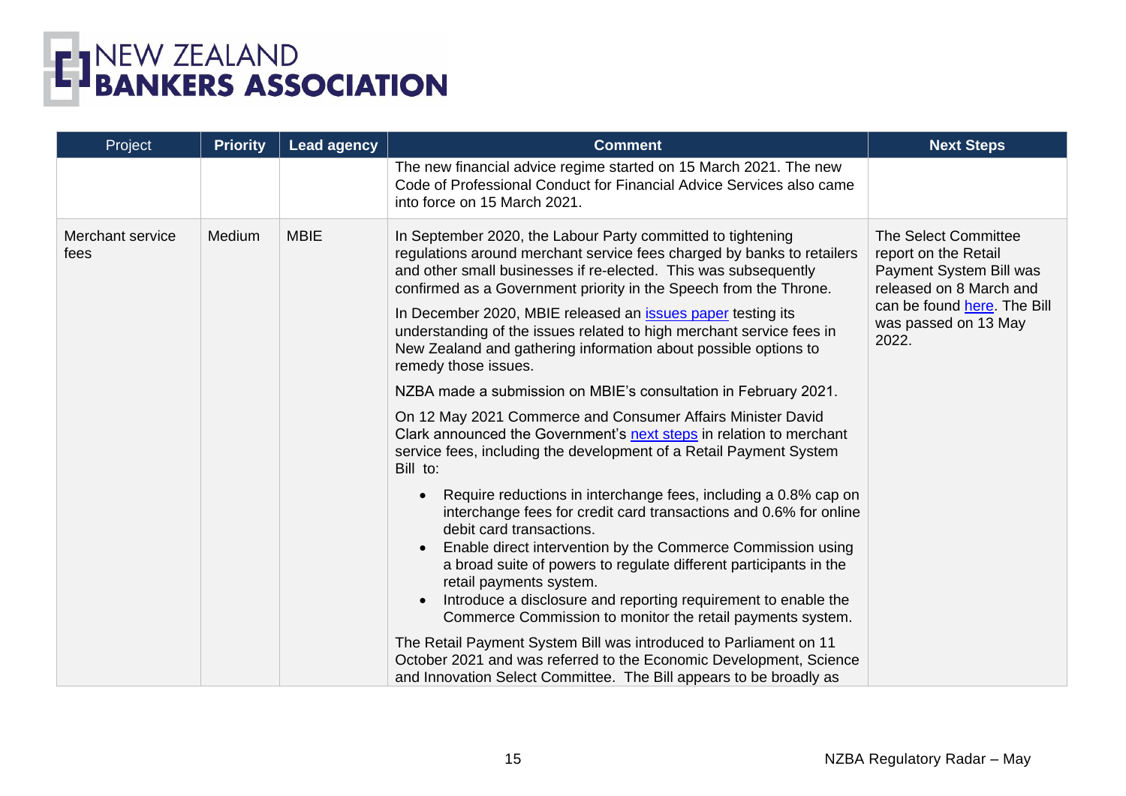

| Project                  | <b>Priority</b> | <b>Lead agency</b>                  | <b>Comment</b>                                                                                                                                                                                                                                                                                                                                                                                                                                                                                 | <b>Next Steps</b>                                                                                                                                                  |
|--------------------------|-----------------|-------------------------------------|------------------------------------------------------------------------------------------------------------------------------------------------------------------------------------------------------------------------------------------------------------------------------------------------------------------------------------------------------------------------------------------------------------------------------------------------------------------------------------------------|--------------------------------------------------------------------------------------------------------------------------------------------------------------------|
|                          |                 |                                     | The new financial advice regime started on 15 March 2021. The new<br>Code of Professional Conduct for Financial Advice Services also came<br>into force on 15 March 2021.                                                                                                                                                                                                                                                                                                                      |                                                                                                                                                                    |
| Merchant service<br>fees | Medium          | <b>MBIE</b><br>remedy those issues. | In September 2020, the Labour Party committed to tightening<br>regulations around merchant service fees charged by banks to retailers<br>and other small businesses if re-elected. This was subsequently<br>confirmed as a Government priority in the Speech from the Throne.<br>In December 2020, MBIE released an <i>issues</i> paper testing its<br>understanding of the issues related to high merchant service fees in<br>New Zealand and gathering information about possible options to | The Select Committee<br>report on the Retail<br>Payment System Bill was<br>released on 8 March and<br>can be found here. The Bill<br>was passed on 13 May<br>2022. |
|                          |                 |                                     | NZBA made a submission on MBIE's consultation in February 2021.                                                                                                                                                                                                                                                                                                                                                                                                                                |                                                                                                                                                                    |
|                          |                 |                                     | On 12 May 2021 Commerce and Consumer Affairs Minister David<br>Clark announced the Government's next steps in relation to merchant<br>service fees, including the development of a Retail Payment System<br>Bill to:                                                                                                                                                                                                                                                                           |                                                                                                                                                                    |
|                          |                 |                                     | Require reductions in interchange fees, including a 0.8% cap on<br>interchange fees for credit card transactions and 0.6% for online<br>debit card transactions.<br>Enable direct intervention by the Commerce Commission using<br>a broad suite of powers to regulate different participants in the<br>retail payments system.<br>Introduce a disclosure and reporting requirement to enable the<br>Commerce Commission to monitor the retail payments system.                                |                                                                                                                                                                    |
|                          |                 |                                     | The Retail Payment System Bill was introduced to Parliament on 11<br>October 2021 and was referred to the Economic Development, Science<br>and Innovation Select Committee. The Bill appears to be broadly as                                                                                                                                                                                                                                                                                  |                                                                                                                                                                    |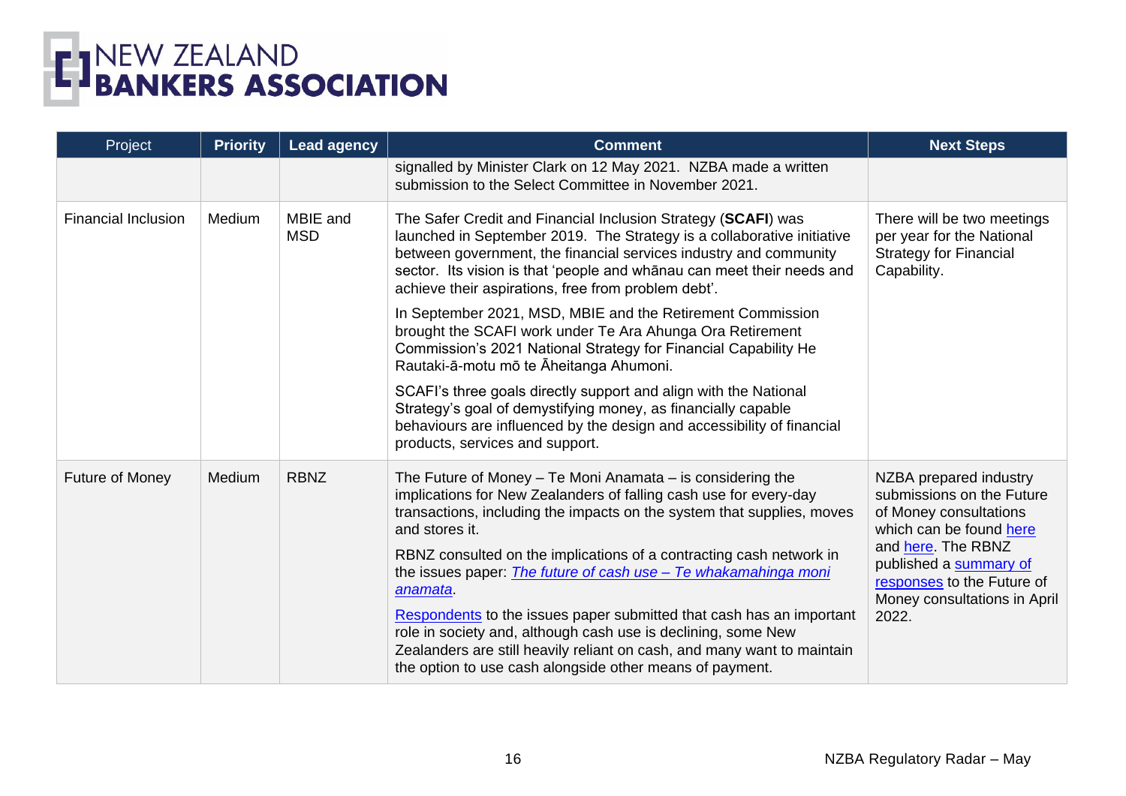

| Project                    | <b>Priority</b> | <b>Lead agency</b>     | <b>Comment</b>                                                                                                                                                                                                                                                                                                                                                                           | <b>Next Steps</b>                                                                                                                                                                                                               |
|----------------------------|-----------------|------------------------|------------------------------------------------------------------------------------------------------------------------------------------------------------------------------------------------------------------------------------------------------------------------------------------------------------------------------------------------------------------------------------------|---------------------------------------------------------------------------------------------------------------------------------------------------------------------------------------------------------------------------------|
|                            |                 |                        | signalled by Minister Clark on 12 May 2021. NZBA made a written<br>submission to the Select Committee in November 2021.                                                                                                                                                                                                                                                                  |                                                                                                                                                                                                                                 |
| <b>Financial Inclusion</b> | Medium          | MBIE and<br><b>MSD</b> | The Safer Credit and Financial Inclusion Strategy (SCAFI) was<br>launched in September 2019. The Strategy is a collaborative initiative<br>between government, the financial services industry and community<br>sector. Its vision is that 'people and whanau can meet their needs and<br>achieve their aspirations, free from problem debt'.                                            | There will be two meetings<br>per year for the National<br><b>Strategy for Financial</b><br>Capability.                                                                                                                         |
|                            |                 |                        | In September 2021, MSD, MBIE and the Retirement Commission<br>brought the SCAFI work under Te Ara Ahunga Ora Retirement<br>Commission's 2021 National Strategy for Financial Capability He<br>Rautaki-ā-motu mō te Āheitanga Ahumoni.                                                                                                                                                    |                                                                                                                                                                                                                                 |
|                            |                 |                        | SCAFI's three goals directly support and align with the National<br>Strategy's goal of demystifying money, as financially capable<br>behaviours are influenced by the design and accessibility of financial<br>products, services and support.                                                                                                                                           |                                                                                                                                                                                                                                 |
| Future of Money            | Medium          | <b>RBNZ</b>            | The Future of Money - Te Moni Anamata - is considering the<br>implications for New Zealanders of falling cash use for every-day<br>transactions, including the impacts on the system that supplies, moves<br>and stores it.<br>RBNZ consulted on the implications of a contracting cash network in<br>the issues paper: <i>The future of cash use - Te whakamahinga moni</i><br>anamata. | NZBA prepared industry<br>submissions on the Future<br>of Money consultations<br>which can be found here<br>and here. The RBNZ<br>published a summary of<br>responses to the Future of<br>Money consultations in April<br>2022. |
|                            |                 |                        | Respondents to the issues paper submitted that cash has an important<br>role in society and, although cash use is declining, some New<br>Zealanders are still heavily reliant on cash, and many want to maintain<br>the option to use cash alongside other means of payment.                                                                                                             |                                                                                                                                                                                                                                 |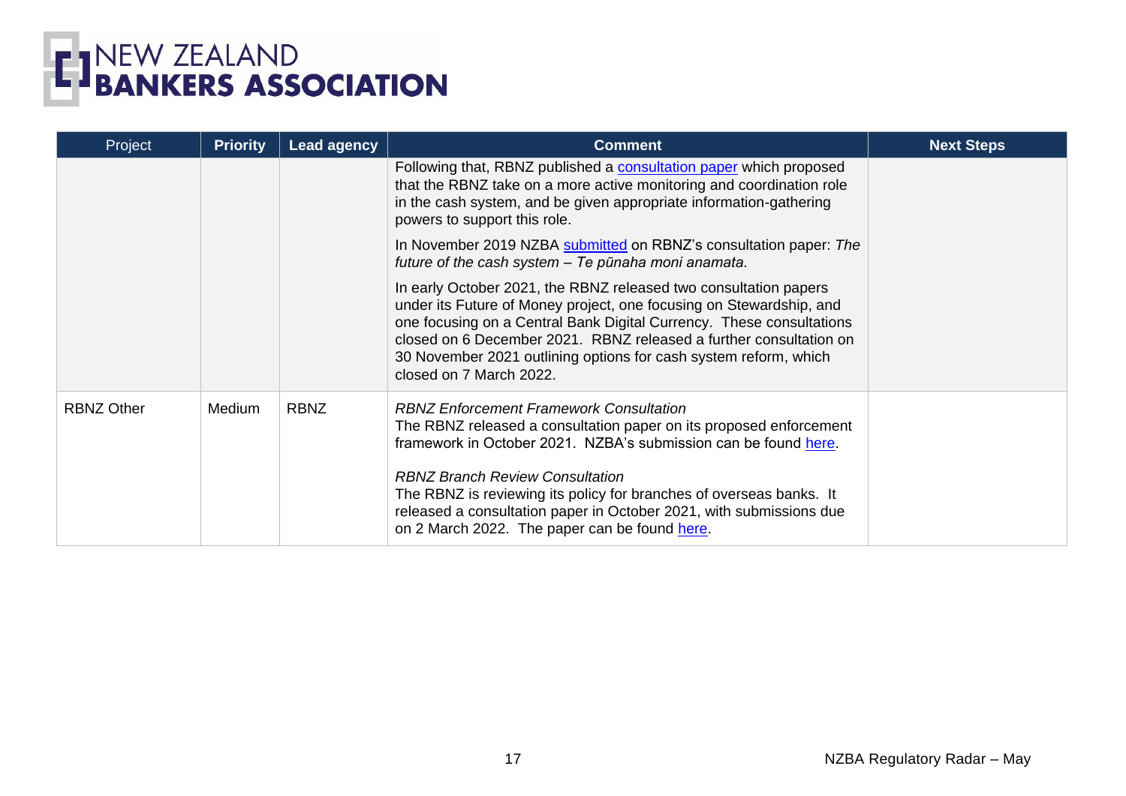

| Project           | <b>Priority</b> | <b>Lead agency</b> | <b>Comment</b>                                                                                                                                                                                                                                                                                                                                                                       | <b>Next Steps</b> |
|-------------------|-----------------|--------------------|--------------------------------------------------------------------------------------------------------------------------------------------------------------------------------------------------------------------------------------------------------------------------------------------------------------------------------------------------------------------------------------|-------------------|
|                   |                 |                    | Following that, RBNZ published a consultation paper which proposed<br>that the RBNZ take on a more active monitoring and coordination role<br>in the cash system, and be given appropriate information-gathering<br>powers to support this role.                                                                                                                                     |                   |
|                   |                 |                    | In November 2019 NZBA submitted on RBNZ's consultation paper: The<br>future of the cash system - Te pūnaha moni anamata.                                                                                                                                                                                                                                                             |                   |
|                   |                 |                    | In early October 2021, the RBNZ released two consultation papers<br>under its Future of Money project, one focusing on Stewardship, and<br>one focusing on a Central Bank Digital Currency. These consultations<br>closed on 6 December 2021. RBNZ released a further consultation on<br>30 November 2021 outlining options for cash system reform, which<br>closed on 7 March 2022. |                   |
| <b>RBNZ Other</b> | Medium          | <b>RBNZ</b>        | <b>RBNZ Enforcement Framework Consultation</b><br>The RBNZ released a consultation paper on its proposed enforcement<br>framework in October 2021. NZBA's submission can be found here.                                                                                                                                                                                              |                   |
|                   |                 |                    | <b>RBNZ Branch Review Consultation</b><br>The RBNZ is reviewing its policy for branches of overseas banks. It<br>released a consultation paper in October 2021, with submissions due<br>on 2 March 2022. The paper can be found here.                                                                                                                                                |                   |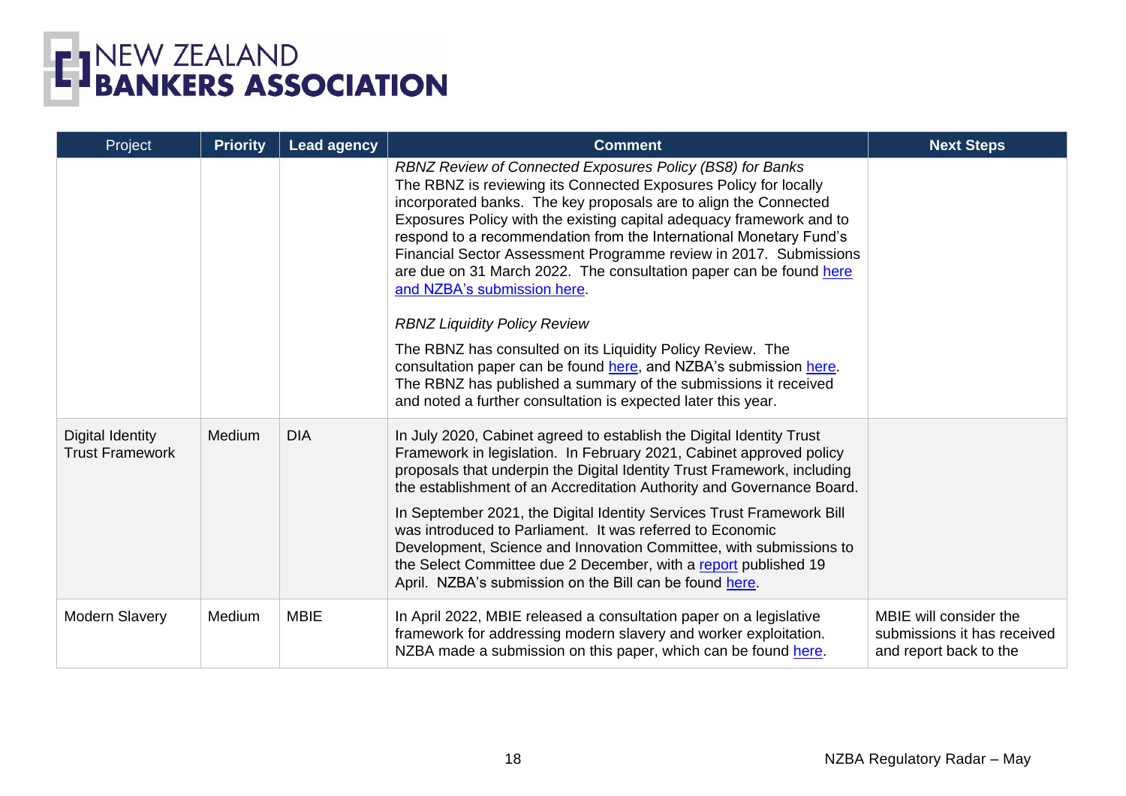| Project                                           | <b>Priority</b> | <b>Lead agency</b> | <b>Comment</b>                                                                                                                                                                                                                                                                                                                                                                                                                                                                                                                                                                                                                                                                                                                                                         | <b>Next Steps</b>                                                               |
|---------------------------------------------------|-----------------|--------------------|------------------------------------------------------------------------------------------------------------------------------------------------------------------------------------------------------------------------------------------------------------------------------------------------------------------------------------------------------------------------------------------------------------------------------------------------------------------------------------------------------------------------------------------------------------------------------------------------------------------------------------------------------------------------------------------------------------------------------------------------------------------------|---------------------------------------------------------------------------------|
|                                                   |                 |                    | RBNZ Review of Connected Exposures Policy (BS8) for Banks<br>The RBNZ is reviewing its Connected Exposures Policy for locally<br>incorporated banks. The key proposals are to align the Connected<br>Exposures Policy with the existing capital adequacy framework and to<br>respond to a recommendation from the International Monetary Fund's<br>Financial Sector Assessment Programme review in 2017. Submissions<br>are due on 31 March 2022. The consultation paper can be found here<br>and NZBA's submission here.<br><b>RBNZ Liquidity Policy Review</b><br>The RBNZ has consulted on its Liquidity Policy Review. The<br>consultation paper can be found here, and NZBA's submission here.<br>The RBNZ has published a summary of the submissions it received |                                                                                 |
|                                                   |                 |                    | and noted a further consultation is expected later this year.                                                                                                                                                                                                                                                                                                                                                                                                                                                                                                                                                                                                                                                                                                          |                                                                                 |
| <b>Digital Identity</b><br><b>Trust Framework</b> | Medium          | <b>DIA</b>         | In July 2020, Cabinet agreed to establish the Digital Identity Trust<br>Framework in legislation. In February 2021, Cabinet approved policy<br>proposals that underpin the Digital Identity Trust Framework, including<br>the establishment of an Accreditation Authority and Governance Board.                                                                                                                                                                                                                                                                                                                                                                                                                                                                        |                                                                                 |
|                                                   |                 |                    | In September 2021, the Digital Identity Services Trust Framework Bill<br>was introduced to Parliament. It was referred to Economic<br>Development, Science and Innovation Committee, with submissions to<br>the Select Committee due 2 December, with a report published 19<br>April. NZBA's submission on the Bill can be found here.                                                                                                                                                                                                                                                                                                                                                                                                                                 |                                                                                 |
| <b>Modern Slavery</b>                             | Medium          | <b>MBIE</b>        | In April 2022, MBIE released a consultation paper on a legislative<br>framework for addressing modern slavery and worker exploitation.<br>NZBA made a submission on this paper, which can be found here.                                                                                                                                                                                                                                                                                                                                                                                                                                                                                                                                                               | MBIE will consider the<br>submissions it has received<br>and report back to the |